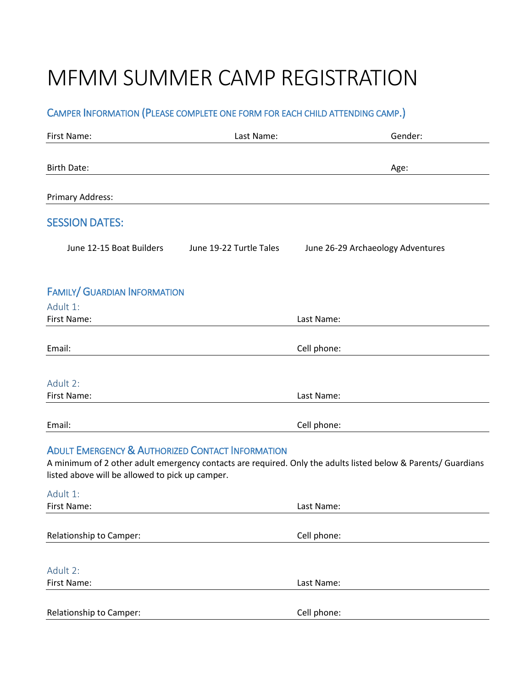# MFMM SUMMER CAMP REGISTRATION

## CAMPER INFORMATION (PLEASE COMPLETE ONE FORM FOR EACH CHILD ATTENDING CAMP.)

| First Name:                                                                                                    | Last Name:              | Gender:                                                                                                       |
|----------------------------------------------------------------------------------------------------------------|-------------------------|---------------------------------------------------------------------------------------------------------------|
| <b>Birth Date:</b>                                                                                             |                         | Age:                                                                                                          |
| Primary Address:                                                                                               |                         |                                                                                                               |
| <b>SESSION DATES:</b>                                                                                          |                         |                                                                                                               |
| June 12-15 Boat Builders                                                                                       | June 19-22 Turtle Tales | June 26-29 Archaeology Adventures                                                                             |
| <b>FAMILY/ GUARDIAN INFORMATION</b>                                                                            |                         |                                                                                                               |
| Adult 1:<br>First Name:                                                                                        |                         | Last Name:                                                                                                    |
| Email:                                                                                                         |                         | Cell phone:                                                                                                   |
| Adult 2:                                                                                                       |                         |                                                                                                               |
| First Name:                                                                                                    |                         | Last Name:                                                                                                    |
| Email:                                                                                                         |                         | Cell phone:                                                                                                   |
| <b>ADULT EMERGENCY &amp; AUTHORIZED CONTACT INFORMATION</b><br>listed above will be allowed to pick up camper. |                         | A minimum of 2 other adult emergency contacts are required. Only the adults listed below & Parents/ Guardians |
| Adult 1:<br>First Name:                                                                                        |                         | Last Name:                                                                                                    |
| Relationship to Camper:                                                                                        |                         | Cell phone:                                                                                                   |
|                                                                                                                |                         |                                                                                                               |
| Adult 2:                                                                                                       |                         |                                                                                                               |
| First Name:                                                                                                    |                         | Last Name:                                                                                                    |
| Relationship to Camper:                                                                                        |                         | Cell phone:                                                                                                   |